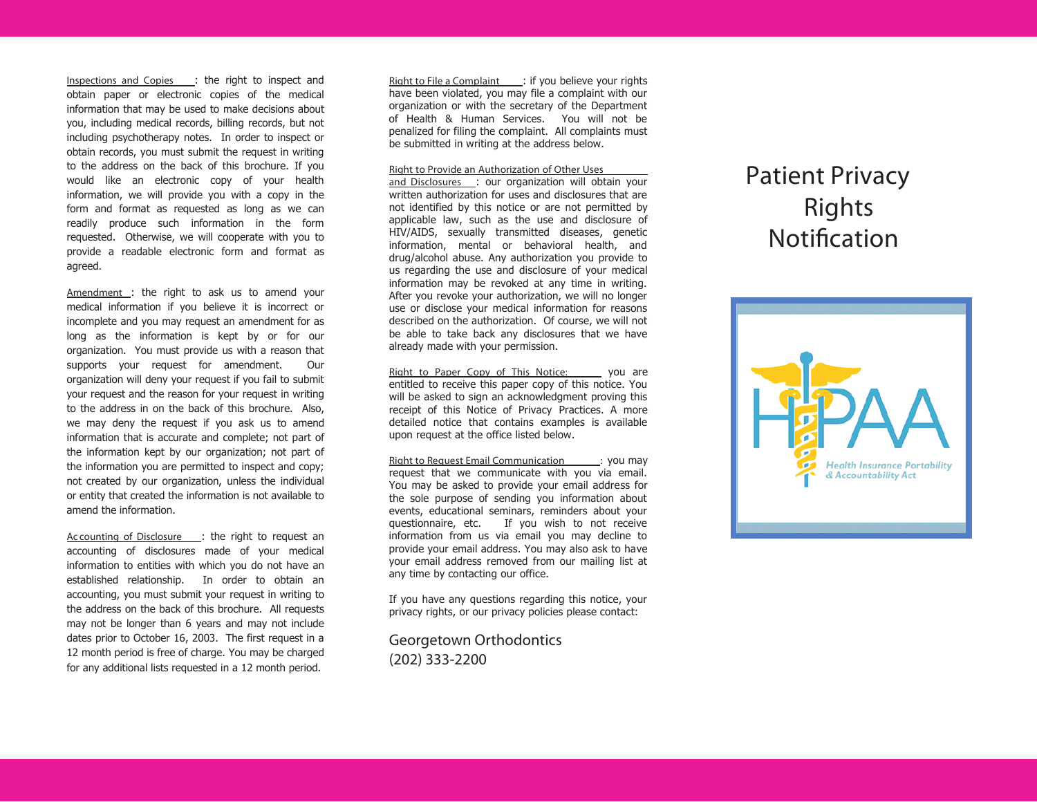**Inspections and Copies** : the right to inspect and obtain paper or electronic copies of the medical information that may be used to make decisions about you, including medical records, billing records, but not including psychotherapy notes. In order to inspect or obtain records, you must submit the request in writing to the address on the back of this brochure. If you would like an electronic copy of your health information, we will provide you with <sup>a</sup> copy in the form and format as requested as long as we can readily produce such information in the form requested. Otherwise, we will cooperate with you to provide <sup>a</sup> readable electronic form and format as agreed.

**Amendment** : the right to ask us to amend your medical information if you believe it is incorrect or incomplete and you may request an amendment for as long as the information is kept by or for our organization. You must provide us with <sup>a</sup> reason that supports your request for amendment. Our organization will deny your request if you fail to submit your request and the reason for your request in writing to the address in on the back of this brochure. Also, we may deny the request if you ask us to amend information that is accurate and complete; not part of the information kept by our organization; not part of the information you are permitted to inspect and copy; not created by our organization, unless the individual or entity that created the information is not available to amend the information.

**Ac counting of Disclosure** : the right to request an accounting of disclosures made of your medical information to entities with which you do not have an established relationship. In order to obtain an accounting, you must submit your request in writing to the address on the back of this brochure. All requests may not be longer than 6 years and may not include dates prior to October 16, 2003. The first request in <sup>a</sup> 12 month period is free of charge. You may be charged for any additional lists requested in <sup>a</sup> 12 month period.

**Right to File <sup>a</sup> Complaint** : if you believe your rights have been violated, you may file <sup>a</sup> complaint with our organization or with the secretary of the Department of Health & Human Services. You will not be penalized for filing the complaint. All complaints must be submitted in writing at the address below.

## **Right to Provide an Authorization of Other Uses**

**and Disclosures** : our organization will obtain your written authorization for uses and disclosures that are not identified by this notice or are not permitted by applicable la w, such as the use and disclosure of HIV/AIDS, sexually transmitted diseases, genetic information, mental or behavioral health, and drug/alcohol abuse. Any authorization you provide to us regarding the use and disclosure of your medical information may be revoked at any time in writing. After you revoke your authorization, we will no longer use or disclose your medical information for reasons described on the authorization. Of course, we will not be able to take back any disclosures that we have already made with your permission.

**Right to Paper Copy of This Notice:** you are entitled to receive this paper copy of this notice. Youwill be asked to sign an ackno wledgment proving this receipt of this Notice of Privacy Practices. A more detailed notice that contains examples is available upon request at the office listed below.

**Right to Request Email Com munication :** you may request that we communicate with you via email. You may be asked to provide your email address for the sole purpose of sending you information about events, educational seminars, reminders about your questionnaire, etc. wish to not receive information from us via email you may decline to provide your email address. You may also ask to have your email address removed from our mailing list at any time by contacting our office.

If you have any questions regarding this notice, your privacy rights, or our privacy policies please contact:

## Georgetown Orthodontics (202) 333-2200

## **P**atient Privacy **Righ t s Notifcation**